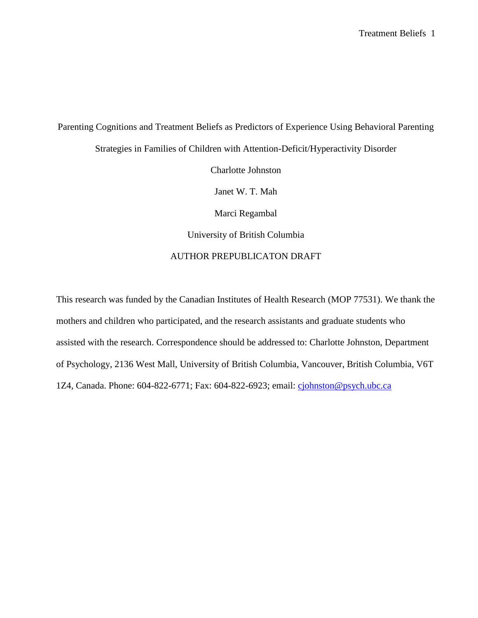Parenting Cognitions and Treatment Beliefs as Predictors of Experience Using Behavioral Parenting Strategies in Families of Children with Attention-Deficit/Hyperactivity Disorder Charlotte Johnston Janet W. T. Mah Marci Regambal University of British Columbia AUTHOR PREPUBLICATON DRAFT

This research was funded by the Canadian Institutes of Health Research (MOP 77531). We thank the mothers and children who participated, and the research assistants and graduate students who assisted with the research. Correspondence should be addressed to: Charlotte Johnston, Department of Psychology, 2136 West Mall, University of British Columbia, Vancouver, British Columbia, V6T 1Z4, Canada. Phone: 604-822-6771; Fax: 604-822-6923; email: [cjohnston@psych.ubc.ca](mailto:cjohnston@psych.ubc.ca)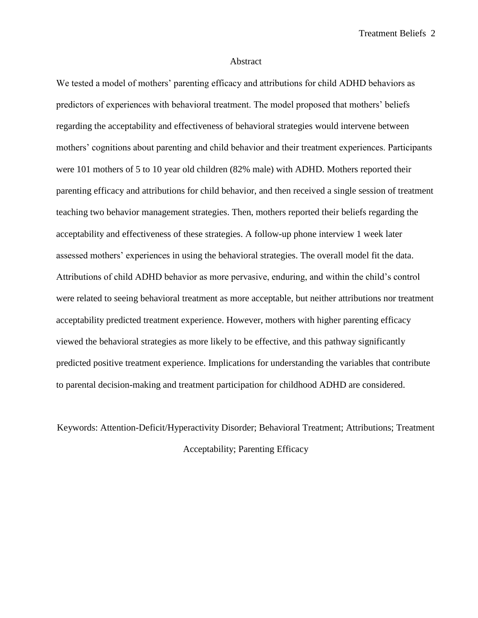Treatment Beliefs 2

#### Abstract

We tested a model of mothers' parenting efficacy and attributions for child ADHD behaviors as predictors of experiences with behavioral treatment. The model proposed that mothers' beliefs regarding the acceptability and effectiveness of behavioral strategies would intervene between mothers' cognitions about parenting and child behavior and their treatment experiences. Participants were 101 mothers of 5 to 10 year old children (82% male) with ADHD. Mothers reported their parenting efficacy and attributions for child behavior, and then received a single session of treatment teaching two behavior management strategies. Then, mothers reported their beliefs regarding the acceptability and effectiveness of these strategies. A follow-up phone interview 1 week later assessed mothers' experiences in using the behavioral strategies. The overall model fit the data. Attributions of child ADHD behavior as more pervasive, enduring, and within the child's control were related to seeing behavioral treatment as more acceptable, but neither attributions nor treatment acceptability predicted treatment experience. However, mothers with higher parenting efficacy viewed the behavioral strategies as more likely to be effective, and this pathway significantly predicted positive treatment experience. Implications for understanding the variables that contribute to parental decision-making and treatment participation for childhood ADHD are considered.

Keywords: Attention-Deficit/Hyperactivity Disorder; Behavioral Treatment; Attributions; Treatment Acceptability; Parenting Efficacy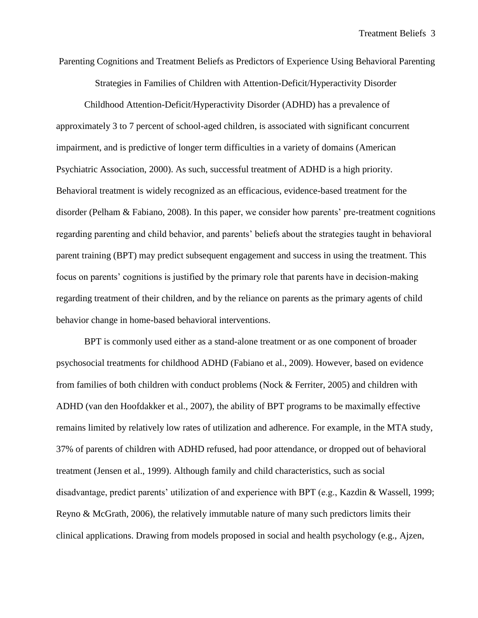Parenting Cognitions and Treatment Beliefs as Predictors of Experience Using Behavioral Parenting Strategies in Families of Children with Attention-Deficit/Hyperactivity Disorder

Childhood Attention-Deficit/Hyperactivity Disorder (ADHD) has a prevalence of approximately 3 to 7 percent of school-aged children, is associated with significant concurrent impairment, and is predictive of longer term difficulties in a variety of domains (American Psychiatric Association, 2000). As such, successful treatment of ADHD is a high priority. Behavioral treatment is widely recognized as an efficacious, evidence-based treatment for the disorder (Pelham & Fabiano, 2008). In this paper, we consider how parents' pre-treatment cognitions regarding parenting and child behavior, and parents' beliefs about the strategies taught in behavioral parent training (BPT) may predict subsequent engagement and success in using the treatment. This focus on parents' cognitions is justified by the primary role that parents have in decision-making regarding treatment of their children, and by the reliance on parents as the primary agents of child behavior change in home-based behavioral interventions.

BPT is commonly used either as a stand-alone treatment or as one component of broader psychosocial treatments for childhood ADHD (Fabiano et al., 2009). However, based on evidence from families of both children with conduct problems (Nock & Ferriter, 2005) and children with ADHD (van den Hoofdakker et al., 2007), the ability of BPT programs to be maximally effective remains limited by relatively low rates of utilization and adherence. For example, in the MTA study, 37% of parents of children with ADHD refused, had poor attendance, or dropped out of behavioral treatment (Jensen et al., 1999). Although family and child characteristics, such as social disadvantage, predict parents' utilization of and experience with BPT (e.g., Kazdin & Wassell, 1999; Reyno & McGrath, 2006), the relatively immutable nature of many such predictors limits their clinical applications. Drawing from models proposed in social and health psychology (e.g., Ajzen,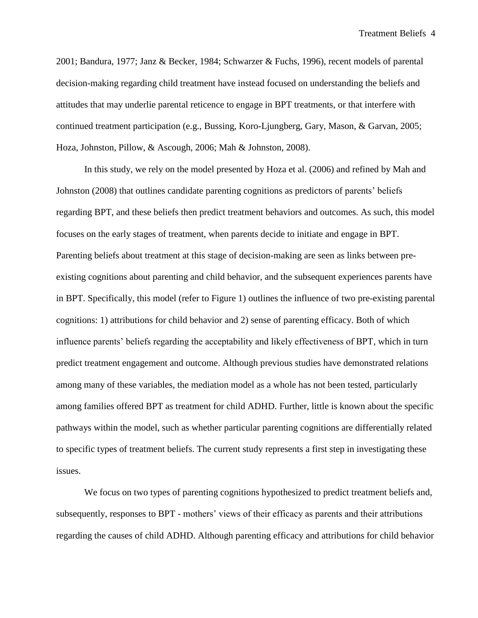Treatment Beliefs 4

2001; Bandura, 1977; Janz & Becker, 1984; Schwarzer & Fuchs, 1996), recent models of parental decision-making regarding child treatment have instead focused on understanding the beliefs and attitudes that may underlie parental reticence to engage in BPT treatments, or that interfere with continued treatment participation (e.g., Bussing, Koro-Ljungberg, Gary, Mason, & Garvan, 2005; Hoza, Johnston, Pillow, & Ascough, 2006; Mah & Johnston, 2008).

In this study, we rely on the model presented by Hoza et al. (2006) and refined by Mah and Johnston (2008) that outlines candidate parenting cognitions as predictors of parents' beliefs regarding BPT, and these beliefs then predict treatment behaviors and outcomes. As such, this model focuses on the early stages of treatment, when parents decide to initiate and engage in BPT. Parenting beliefs about treatment at this stage of decision-making are seen as links between preexisting cognitions about parenting and child behavior, and the subsequent experiences parents have in BPT. Specifically, this model (refer to Figure 1) outlines the influence of two pre-existing parental cognitions: 1) attributions for child behavior and 2) sense of parenting efficacy. Both of which influence parents' beliefs regarding the acceptability and likely effectiveness of BPT, which in turn predict treatment engagement and outcome. Although previous studies have demonstrated relations among many of these variables, the mediation model as a whole has not been tested, particularly among families offered BPT as treatment for child ADHD. Further, little is known about the specific pathways within the model, such as whether particular parenting cognitions are differentially related to specific types of treatment beliefs. The current study represents a first step in investigating these issues.

We focus on two types of parenting cognitions hypothesized to predict treatment beliefs and, subsequently, responses to BPT - mothers' views of their efficacy as parents and their attributions regarding the causes of child ADHD. Although parenting efficacy and attributions for child behavior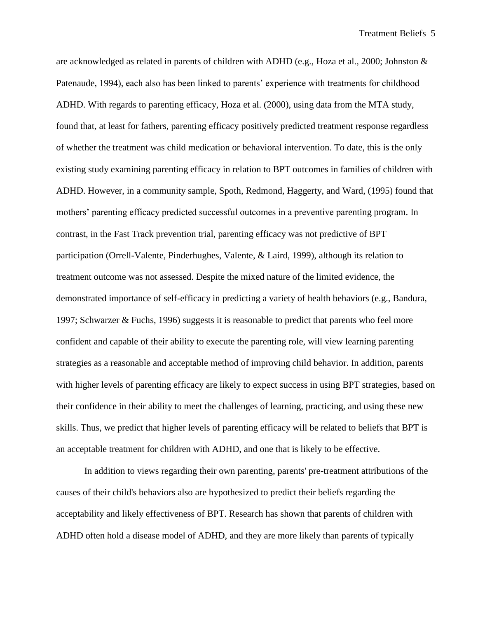are acknowledged as related in parents of children with ADHD (e.g., Hoza et al., 2000; Johnston & Patenaude, 1994), each also has been linked to parents' experience with treatments for childhood ADHD. With regards to parenting efficacy, Hoza et al. (2000), using data from the MTA study, found that, at least for fathers, parenting efficacy positively predicted treatment response regardless of whether the treatment was child medication or behavioral intervention. To date, this is the only existing study examining parenting efficacy in relation to BPT outcomes in families of children with ADHD. However, in a community sample, Spoth, Redmond, Haggerty, and Ward, (1995) found that mothers' parenting efficacy predicted successful outcomes in a preventive parenting program. In contrast, in the Fast Track prevention trial, parenting efficacy was not predictive of BPT participation (Orrell-Valente, Pinderhughes, Valente, & Laird, 1999), although its relation to treatment outcome was not assessed. Despite the mixed nature of the limited evidence, the demonstrated importance of self-efficacy in predicting a variety of health behaviors (e.g., Bandura, 1997; Schwarzer & Fuchs, 1996) suggests it is reasonable to predict that parents who feel more confident and capable of their ability to execute the parenting role, will view learning parenting strategies as a reasonable and acceptable method of improving child behavior. In addition, parents with higher levels of parenting efficacy are likely to expect success in using BPT strategies, based on their confidence in their ability to meet the challenges of learning, practicing, and using these new skills. Thus, we predict that higher levels of parenting efficacy will be related to beliefs that BPT is an acceptable treatment for children with ADHD, and one that is likely to be effective.

In addition to views regarding their own parenting, parents' pre-treatment attributions of the causes of their child's behaviors also are hypothesized to predict their beliefs regarding the acceptability and likely effectiveness of BPT. Research has shown that parents of children with ADHD often hold a disease model of ADHD, and they are more likely than parents of typically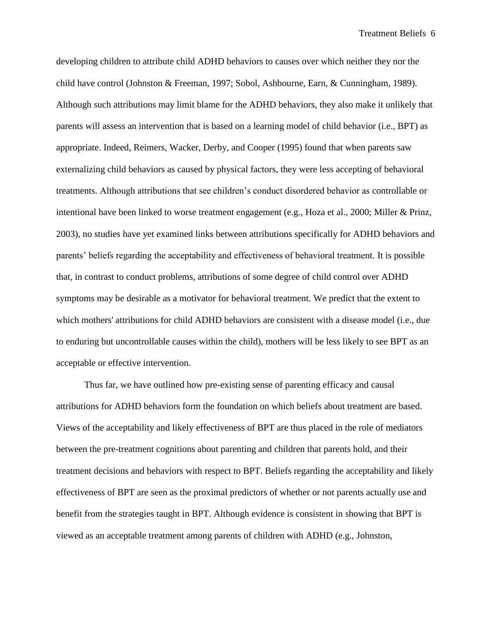developing children to attribute child ADHD behaviors to causes over which neither they nor the child have control (Johnston & Freeman, 1997; Sobol, Ashbourne, Earn, & Cunningham, 1989). Although such attributions may limit blame for the ADHD behaviors, they also make it unlikely that parents will assess an intervention that is based on a learning model of child behavior (i.e., BPT) as appropriate. Indeed, Reimers, Wacker, Derby, and Cooper (1995) found that when parents saw externalizing child behaviors as caused by physical factors, they were less accepting of behavioral treatments. Although attributions that see children's conduct disordered behavior as controllable or intentional have been linked to worse treatment engagement (e.g., Hoza et al., 2000; Miller & Prinz, 2003), no studies have yet examined links between attributions specifically for ADHD behaviors and parents' beliefs regarding the acceptability and effectiveness of behavioral treatment. It is possible that, in contrast to conduct problems, attributions of some degree of child control over ADHD symptoms may be desirable as a motivator for behavioral treatment. We predict that the extent to which mothers' attributions for child ADHD behaviors are consistent with a disease model (i.e., due to enduring but uncontrollable causes within the child), mothers will be less likely to see BPT as an acceptable or effective intervention.

Thus far, we have outlined how pre-existing sense of parenting efficacy and causal attributions for ADHD behaviors form the foundation on which beliefs about treatment are based. Views of the acceptability and likely effectiveness of BPT are thus placed in the role of mediators between the pre-treatment cognitions about parenting and children that parents hold, and their treatment decisions and behaviors with respect to BPT. Beliefs regarding the acceptability and likely effectiveness of BPT are seen as the proximal predictors of whether or not parents actually use and benefit from the strategies taught in BPT. Although evidence is consistent in showing that BPT is viewed as an acceptable treatment among parents of children with ADHD (e.g., Johnston,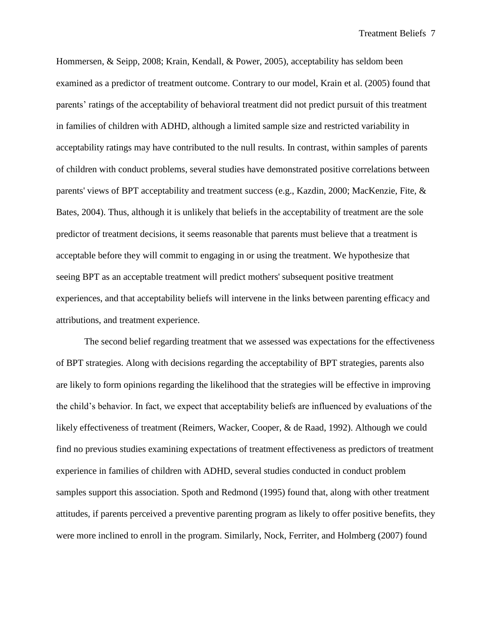Hommersen, & Seipp, 2008; Krain, Kendall, & Power, 2005), acceptability has seldom been examined as a predictor of treatment outcome. Contrary to our model, Krain et al. (2005) found that parents' ratings of the acceptability of behavioral treatment did not predict pursuit of this treatment in families of children with ADHD, although a limited sample size and restricted variability in acceptability ratings may have contributed to the null results. In contrast, within samples of parents of children with conduct problems, several studies have demonstrated positive correlations between parents' views of BPT acceptability and treatment success (e.g., Kazdin, 2000; MacKenzie, Fite, & Bates, 2004). Thus, although it is unlikely that beliefs in the acceptability of treatment are the sole predictor of treatment decisions, it seems reasonable that parents must believe that a treatment is acceptable before they will commit to engaging in or using the treatment. We hypothesize that seeing BPT as an acceptable treatment will predict mothers' subsequent positive treatment experiences, and that acceptability beliefs will intervene in the links between parenting efficacy and attributions, and treatment experience.

The second belief regarding treatment that we assessed was expectations for the effectiveness of BPT strategies. Along with decisions regarding the acceptability of BPT strategies, parents also are likely to form opinions regarding the likelihood that the strategies will be effective in improving the child's behavior. In fact, we expect that acceptability beliefs are influenced by evaluations of the likely effectiveness of treatment (Reimers, Wacker, Cooper, & de Raad, 1992). Although we could find no previous studies examining expectations of treatment effectiveness as predictors of treatment experience in families of children with ADHD, several studies conducted in conduct problem samples support this association. Spoth and Redmond (1995) found that, along with other treatment attitudes, if parents perceived a preventive parenting program as likely to offer positive benefits, they were more inclined to enroll in the program. Similarly, Nock, Ferriter, and Holmberg (2007) found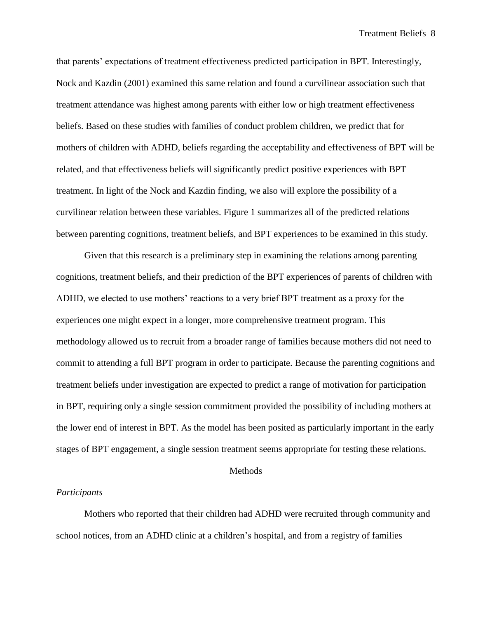that parents' expectations of treatment effectiveness predicted participation in BPT. Interestingly, Nock and Kazdin (2001) examined this same relation and found a curvilinear association such that treatment attendance was highest among parents with either low or high treatment effectiveness beliefs. Based on these studies with families of conduct problem children, we predict that for mothers of children with ADHD, beliefs regarding the acceptability and effectiveness of BPT will be related, and that effectiveness beliefs will significantly predict positive experiences with BPT treatment. In light of the Nock and Kazdin finding, we also will explore the possibility of a curvilinear relation between these variables. Figure 1 summarizes all of the predicted relations between parenting cognitions, treatment beliefs, and BPT experiences to be examined in this study.

Given that this research is a preliminary step in examining the relations among parenting cognitions, treatment beliefs, and their prediction of the BPT experiences of parents of children with ADHD, we elected to use mothers' reactions to a very brief BPT treatment as a proxy for the experiences one might expect in a longer, more comprehensive treatment program. This methodology allowed us to recruit from a broader range of families because mothers did not need to commit to attending a full BPT program in order to participate. Because the parenting cognitions and treatment beliefs under investigation are expected to predict a range of motivation for participation in BPT, requiring only a single session commitment provided the possibility of including mothers at the lower end of interest in BPT. As the model has been posited as particularly important in the early stages of BPT engagement, a single session treatment seems appropriate for testing these relations.

#### Methods

#### *Participants*

Mothers who reported that their children had ADHD were recruited through community and school notices, from an ADHD clinic at a children's hospital, and from a registry of families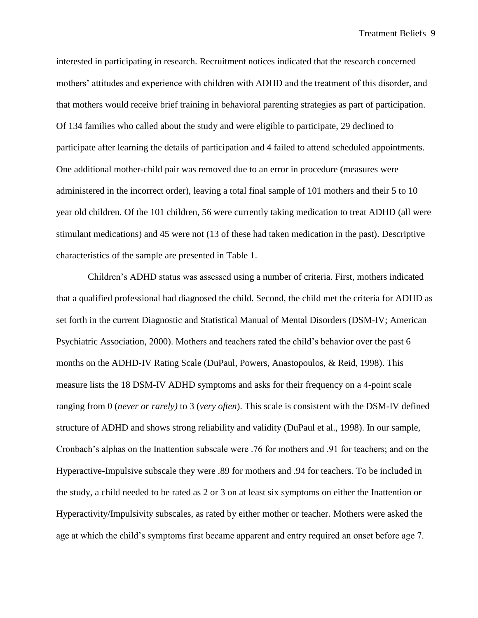interested in participating in research. Recruitment notices indicated that the research concerned mothers' attitudes and experience with children with ADHD and the treatment of this disorder, and that mothers would receive brief training in behavioral parenting strategies as part of participation. Of 134 families who called about the study and were eligible to participate, 29 declined to participate after learning the details of participation and 4 failed to attend scheduled appointments. One additional mother-child pair was removed due to an error in procedure (measures were administered in the incorrect order), leaving a total final sample of 101 mothers and their 5 to 10 year old children. Of the 101 children, 56 were currently taking medication to treat ADHD (all were stimulant medications) and 45 were not (13 of these had taken medication in the past). Descriptive characteristics of the sample are presented in Table 1.

Children's ADHD status was assessed using a number of criteria. First, mothers indicated that a qualified professional had diagnosed the child. Second, the child met the criteria for ADHD as set forth in the current Diagnostic and Statistical Manual of Mental Disorders (DSM-IV; American Psychiatric Association, 2000). Mothers and teachers rated the child's behavior over the past 6 months on the ADHD-IV Rating Scale (DuPaul, Powers, Anastopoulos, & Reid, 1998). This measure lists the 18 DSM-IV ADHD symptoms and asks for their frequency on a 4-point scale ranging from 0 (*never or rarely)* to 3 (*very often*). This scale is consistent with the DSM-IV defined structure of ADHD and shows strong reliability and validity (DuPaul et al., 1998). In our sample, Cronbach's alphas on the Inattention subscale were .76 for mothers and .91 for teachers; and on the Hyperactive-Impulsive subscale they were .89 for mothers and .94 for teachers. To be included in the study, a child needed to be rated as 2 or 3 on at least six symptoms on either the Inattention or Hyperactivity/Impulsivity subscales, as rated by either mother or teacher. Mothers were asked the age at which the child's symptoms first became apparent and entry required an onset before age 7.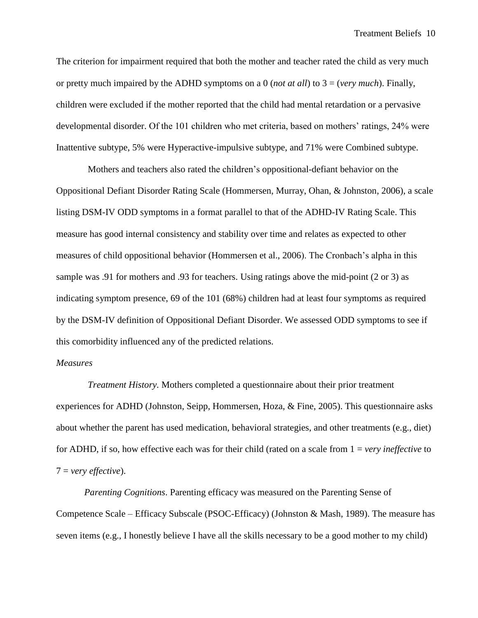The criterion for impairment required that both the mother and teacher rated the child as very much or pretty much impaired by the ADHD symptoms on a 0 (*not at all*) to 3 = (*very much*). Finally, children were excluded if the mother reported that the child had mental retardation or a pervasive developmental disorder. Of the 101 children who met criteria, based on mothers' ratings, 24% were Inattentive subtype, 5% were Hyperactive-impulsive subtype, and 71% were Combined subtype.

Mothers and teachers also rated the children's oppositional-defiant behavior on the Oppositional Defiant Disorder Rating Scale (Hommersen, Murray, Ohan, & Johnston, 2006), a scale listing DSM-IV ODD symptoms in a format parallel to that of the ADHD-IV Rating Scale. This measure has good internal consistency and stability over time and relates as expected to other measures of child oppositional behavior (Hommersen et al., 2006). The Cronbach's alpha in this sample was .91 for mothers and .93 for teachers. Using ratings above the mid-point (2 or 3) as indicating symptom presence, 69 of the 101 (68%) children had at least four symptoms as required by the DSM-IV definition of Oppositional Defiant Disorder. We assessed ODD symptoms to see if this comorbidity influenced any of the predicted relations.

#### *Measures*

*Treatment History.* Mothers completed a questionnaire about their prior treatment experiences for ADHD (Johnston, Seipp, Hommersen, Hoza, & Fine, 2005). This questionnaire asks about whether the parent has used medication, behavioral strategies, and other treatments (e.g., diet) for ADHD, if so, how effective each was for their child (rated on a scale from 1 = *very ineffective* to 7 = *very effective*).

*Parenting Cognitions*. Parenting efficacy was measured on the Parenting Sense of Competence Scale – Efficacy Subscale (PSOC-Efficacy) (Johnston & Mash, 1989). The measure has seven items (e.g., I honestly believe I have all the skills necessary to be a good mother to my child)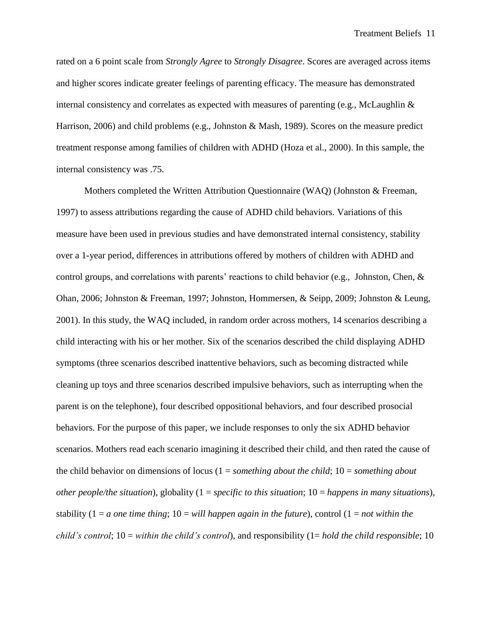rated on a 6 point scale from *Strongly Agree* to *Strongly Disagree*. Scores are averaged across items and higher scores indicate greater feelings of parenting efficacy. The measure has demonstrated internal consistency and correlates as expected with measures of parenting (e.g., McLaughlin & Harrison, 2006) and child problems (e.g., Johnston & Mash, 1989). Scores on the measure predict treatment response among families of children with ADHD (Hoza et al., 2000). In this sample, the internal consistency was .75.

Mothers completed the Written Attribution Questionnaire (WAQ) (Johnston & Freeman, 1997) to assess attributions regarding the cause of ADHD child behaviors. Variations of this measure have been used in previous studies and have demonstrated internal consistency, stability over a 1-year period, differences in attributions offered by mothers of children with ADHD and control groups, and correlations with parents' reactions to child behavior (e.g., Johnston, Chen, & Ohan, 2006; Johnston & Freeman, 1997; Johnston, Hommersen, & Seipp, 2009; Johnston & Leung, 2001). In this study, the WAQ included, in random order across mothers, 14 scenarios describing a child interacting with his or her mother. Six of the scenarios described the child displaying ADHD symptoms (three scenarios described inattentive behaviors, such as becoming distracted while cleaning up toys and three scenarios described impulsive behaviors, such as interrupting when the parent is on the telephone), four described oppositional behaviors, and four described prosocial behaviors. For the purpose of this paper, we include responses to only the six ADHD behavior scenarios. Mothers read each scenario imagining it described their child, and then rated the cause of the child behavior on dimensions of locus (1 = *something about the child*; 10 = *something about other people/the situation*), globality (1 = *specific to this situation*; 10 = *happens in many situations*), stability (1 = *a one time thing*; 10 = *will happen again in the future*), control (1 = *not within the child's control*; 10 = *within the child's control*), and responsibility (1= *hold the child responsible*; 10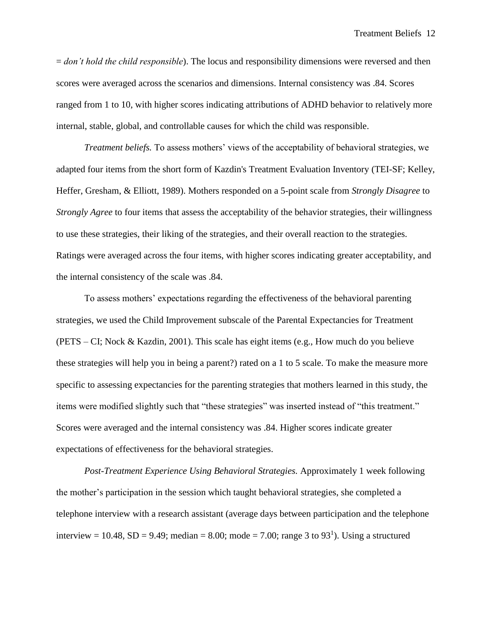= *don't hold the child responsible*). The locus and responsibility dimensions were reversed and then scores were averaged across the scenarios and dimensions. Internal consistency was .84. Scores ranged from 1 to 10, with higher scores indicating attributions of ADHD behavior to relatively more internal, stable, global, and controllable causes for which the child was responsible.

*Treatment beliefs.* To assess mothers' views of the acceptability of behavioral strategies, we adapted four items from the short form of Kazdin's Treatment Evaluation Inventory (TEI-SF; Kelley, Heffer, Gresham, & Elliott, 1989). Mothers responded on a 5-point scale from *Strongly Disagree* to *Strongly Agree* to four items that assess the acceptability of the behavior strategies, their willingness to use these strategies, their liking of the strategies, and their overall reaction to the strategies. Ratings were averaged across the four items, with higher scores indicating greater acceptability, and the internal consistency of the scale was .84.

To assess mothers' expectations regarding the effectiveness of the behavioral parenting strategies, we used the Child Improvement subscale of the Parental Expectancies for Treatment (PETS – CI; Nock & Kazdin, 2001). This scale has eight items (e.g., How much do you believe these strategies will help you in being a parent?) rated on a 1 to 5 scale. To make the measure more specific to assessing expectancies for the parenting strategies that mothers learned in this study, the items were modified slightly such that "these strategies" was inserted instead of "this treatment." Scores were averaged and the internal consistency was .84. Higher scores indicate greater expectations of effectiveness for the behavioral strategies.

*Post-Treatment Experience Using Behavioral Strategies.* Approximately 1 week following the mother's participation in the session which taught behavioral strategies, she completed a telephone interview with a research assistant (average days between participation and the telephone interview = 10.48, SD = 9.49; median = 8.00; mode = 7.00; range 3 to 93<sup>1</sup>). Using a structured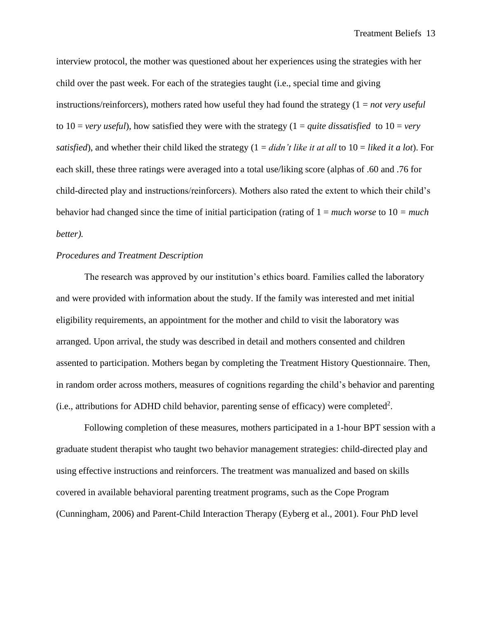interview protocol, the mother was questioned about her experiences using the strategies with her child over the past week. For each of the strategies taught (i.e., special time and giving instructions/reinforcers), mothers rated how useful they had found the strategy (1 = *not very useful*  to  $10 = \text{very useful}$ , how satisfied they were with the strategy  $(1 = \text{quite dissatisfied to } 10 = \text{very odd})$ *satisfied*), and whether their child liked the strategy (1 = *didn't like it at all* to 10 = *liked it a lot*). For each skill, these three ratings were averaged into a total use/liking score (alphas of .60 and .76 for child-directed play and instructions/reinforcers). Mothers also rated the extent to which their child's behavior had changed since the time of initial participation (rating of 1 = *much worse* to 10 *= much better).*

### *Procedures and Treatment Description*

The research was approved by our institution's ethics board. Families called the laboratory and were provided with information about the study. If the family was interested and met initial eligibility requirements, an appointment for the mother and child to visit the laboratory was arranged. Upon arrival, the study was described in detail and mothers consented and children assented to participation. Mothers began by completing the Treatment History Questionnaire. Then, in random order across mothers, measures of cognitions regarding the child's behavior and parenting (i.e., attributions for ADHD child behavior, parenting sense of efficacy) were completed<sup>2</sup>.

Following completion of these measures, mothers participated in a 1-hour BPT session with a graduate student therapist who taught two behavior management strategies: child-directed play and using effective instructions and reinforcers. The treatment was manualized and based on skills covered in available behavioral parenting treatment programs, such as the Cope Program (Cunningham, 2006) and Parent-Child Interaction Therapy (Eyberg et al., 2001). Four PhD level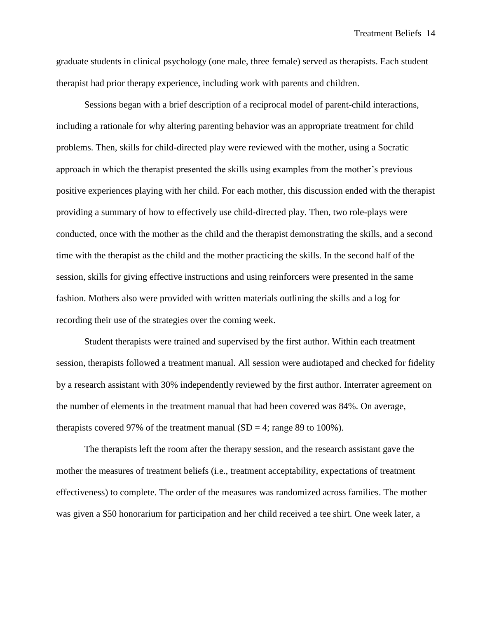Treatment Beliefs 14

graduate students in clinical psychology (one male, three female) served as therapists. Each student therapist had prior therapy experience, including work with parents and children.

Sessions began with a brief description of a reciprocal model of parent-child interactions, including a rationale for why altering parenting behavior was an appropriate treatment for child problems. Then, skills for child-directed play were reviewed with the mother, using a Socratic approach in which the therapist presented the skills using examples from the mother's previous positive experiences playing with her child. For each mother, this discussion ended with the therapist providing a summary of how to effectively use child-directed play. Then, two role-plays were conducted, once with the mother as the child and the therapist demonstrating the skills, and a second time with the therapist as the child and the mother practicing the skills. In the second half of the session, skills for giving effective instructions and using reinforcers were presented in the same fashion. Mothers also were provided with written materials outlining the skills and a log for recording their use of the strategies over the coming week.

Student therapists were trained and supervised by the first author. Within each treatment session, therapists followed a treatment manual. All session were audiotaped and checked for fidelity by a research assistant with 30% independently reviewed by the first author. Interrater agreement on the number of elements in the treatment manual that had been covered was 84%. On average, therapists covered 97% of the treatment manual  $(SD = 4$ ; range 89 to 100%).

The therapists left the room after the therapy session, and the research assistant gave the mother the measures of treatment beliefs (i.e., treatment acceptability, expectations of treatment effectiveness) to complete. The order of the measures was randomized across families. The mother was given a \$50 honorarium for participation and her child received a tee shirt. One week later, a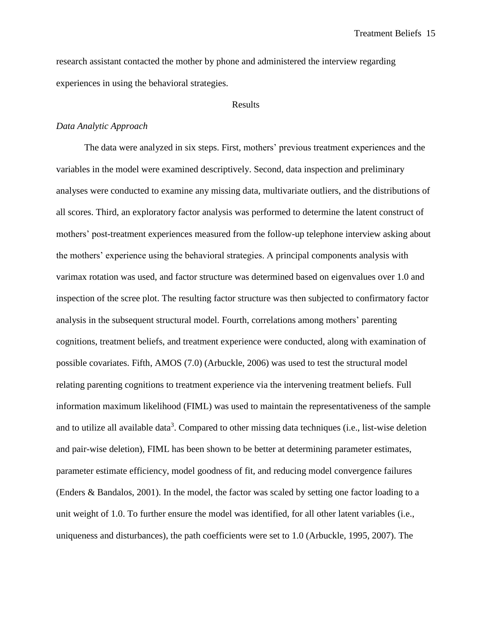research assistant contacted the mother by phone and administered the interview regarding experiences in using the behavioral strategies.

#### Results

#### *Data Analytic Approach*

The data were analyzed in six steps. First, mothers' previous treatment experiences and the variables in the model were examined descriptively. Second, data inspection and preliminary analyses were conducted to examine any missing data, multivariate outliers, and the distributions of all scores. Third, an exploratory factor analysis was performed to determine the latent construct of mothers' post-treatment experiences measured from the follow-up telephone interview asking about the mothers' experience using the behavioral strategies. A principal components analysis with varimax rotation was used, and factor structure was determined based on eigenvalues over 1.0 and inspection of the scree plot. The resulting factor structure was then subjected to confirmatory factor analysis in the subsequent structural model. Fourth, correlations among mothers' parenting cognitions, treatment beliefs, and treatment experience were conducted, along with examination of possible covariates. Fifth, AMOS (7.0) (Arbuckle, 2006) was used to test the structural model relating parenting cognitions to treatment experience via the intervening treatment beliefs. Full information maximum likelihood (FIML) was used to maintain the representativeness of the sample and to utilize all available data<sup>3</sup>. Compared to other missing data techniques (i.e., list-wise deletion and pair-wise deletion), FIML has been shown to be better at determining parameter estimates, parameter estimate efficiency, model goodness of fit, and reducing model convergence failures (Enders & Bandalos, 2001). In the model, the factor was scaled by setting one factor loading to a unit weight of 1.0. To further ensure the model was identified, for all other latent variables (i.e., uniqueness and disturbances), the path coefficients were set to 1.0 (Arbuckle, 1995, 2007). The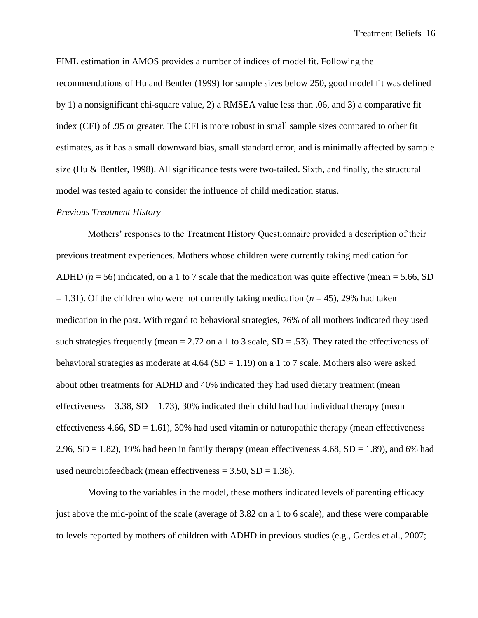FIML estimation in AMOS provides a number of indices of model fit. Following the recommendations of Hu and Bentler (1999) for sample sizes below 250, good model fit was defined by 1) a nonsignificant chi-square value, 2) a RMSEA value less than .06, and 3) a comparative fit index (CFI) of .95 or greater. The CFI is more robust in small sample sizes compared to other fit estimates, as it has a small downward bias, small standard error, and is minimally affected by sample size (Hu & Bentler, 1998). All significance tests were two-tailed. Sixth, and finally, the structural model was tested again to consider the influence of child medication status.

#### *Previous Treatment History*

Mothers' responses to the Treatment History Questionnaire provided a description of their previous treatment experiences. Mothers whose children were currently taking medication for ADHD ( $n = 56$ ) indicated, on a 1 to 7 scale that the medication was quite effective (mean = 5.66, SD  $= 1.31$ ). Of the children who were not currently taking medication ( $n = 45$ ), 29% had taken medication in the past. With regard to behavioral strategies, 76% of all mothers indicated they used such strategies frequently (mean  $= 2.72$  on a 1 to 3 scale, SD  $= .53$ ). They rated the effectiveness of behavioral strategies as moderate at 4.64 (SD = 1.19) on a 1 to 7 scale. Mothers also were asked about other treatments for ADHD and 40% indicated they had used dietary treatment (mean effectiveness =  $3.38$ , SD =  $1.73$ ), 30% indicated their child had had individual therapy (mean effectiveness  $4.66$ ,  $SD = 1.61$ ), 30% had used vitamin or naturopathic therapy (mean effectiveness 2.96,  $SD = 1.82$ ), 19% had been in family therapy (mean effectiveness 4.68,  $SD = 1.89$ ), and 6% had used neurobiofeedback (mean effectiveness  $= 3.50$ , SD  $= 1.38$ ).

Moving to the variables in the model, these mothers indicated levels of parenting efficacy just above the mid-point of the scale (average of 3.82 on a 1 to 6 scale), and these were comparable to levels reported by mothers of children with ADHD in previous studies (e.g., Gerdes et al., 2007;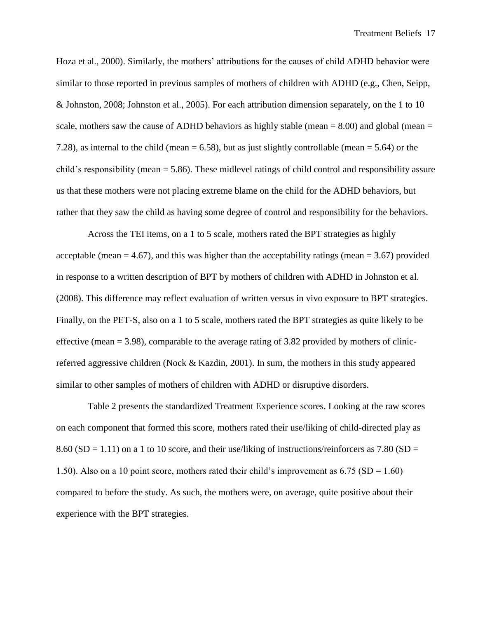Hoza et al., 2000). Similarly, the mothers' attributions for the causes of child ADHD behavior were similar to those reported in previous samples of mothers of children with ADHD (e.g., Chen, Seipp, & Johnston, 2008; Johnston et al., 2005). For each attribution dimension separately, on the 1 to 10 scale, mothers saw the cause of ADHD behaviors as highly stable (mean  $= 8.00$ ) and global (mean  $=$ 7.28), as internal to the child (mean = 6.58), but as just slightly controllable (mean = 5.64) or the child's responsibility (mean = 5.86). These midlevel ratings of child control and responsibility assure us that these mothers were not placing extreme blame on the child for the ADHD behaviors, but rather that they saw the child as having some degree of control and responsibility for the behaviors.

Across the TEI items, on a 1 to 5 scale, mothers rated the BPT strategies as highly acceptable (mean  $= 4.67$ ), and this was higher than the acceptability ratings (mean  $= 3.67$ ) provided in response to a written description of BPT by mothers of children with ADHD in Johnston et al. (2008). This difference may reflect evaluation of written versus in vivo exposure to BPT strategies. Finally, on the PET-S, also on a 1 to 5 scale, mothers rated the BPT strategies as quite likely to be effective (mean  $= 3.98$ ), comparable to the average rating of 3.82 provided by mothers of clinicreferred aggressive children (Nock & Kazdin, 2001). In sum, the mothers in this study appeared similar to other samples of mothers of children with ADHD or disruptive disorders.

Table 2 presents the standardized Treatment Experience scores. Looking at the raw scores on each component that formed this score, mothers rated their use/liking of child-directed play as 8.60 (SD = 1.11) on a 1 to 10 score, and their use/liking of instructions/reinforcers as 7.80 (SD = 1.50). Also on a 10 point score, mothers rated their child's improvement as 6.75 (SD = 1.60) compared to before the study. As such, the mothers were, on average, quite positive about their experience with the BPT strategies.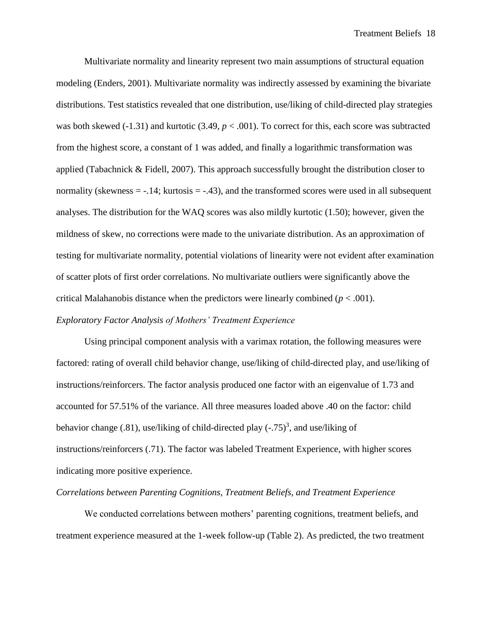Multivariate normality and linearity represent two main assumptions of structural equation modeling (Enders, 2001). Multivariate normality was indirectly assessed by examining the bivariate distributions. Test statistics revealed that one distribution, use/liking of child-directed play strategies was both skewed (-1.31) and kurtotic (3.49,  $p < .001$ ). To correct for this, each score was subtracted from the highest score, a constant of 1 was added, and finally a logarithmic transformation was applied (Tabachnick & Fidell, 2007). This approach successfully brought the distribution closer to normality (skewness  $= -.14$ ; kurtosis  $= -.43$ ), and the transformed scores were used in all subsequent analyses. The distribution for the WAQ scores was also mildly kurtotic (1.50); however, given the mildness of skew, no corrections were made to the univariate distribution. As an approximation of testing for multivariate normality, potential violations of linearity were not evident after examination of scatter plots of first order correlations. No multivariate outliers were significantly above the critical Malahanobis distance when the predictors were linearly combined  $(p < .001)$ . *Exploratory Factor Analysis of Mothers' Treatment Experience*

Using principal component analysis with a varimax rotation, the following measures were factored: rating of overall child behavior change, use/liking of child-directed play, and use/liking of instructions/reinforcers. The factor analysis produced one factor with an eigenvalue of 1.73 and accounted for 57.51% of the variance. All three measures loaded above .40 on the factor: child behavior change (.81), use/liking of child-directed play  $(-.75)^3$ , and use/liking of instructions/reinforcers (.71). The factor was labeled Treatment Experience, with higher scores indicating more positive experience.

#### *Correlations between Parenting Cognitions, Treatment Beliefs, and Treatment Experience*

We conducted correlations between mothers' parenting cognitions, treatment beliefs, and treatment experience measured at the 1-week follow-up (Table 2). As predicted, the two treatment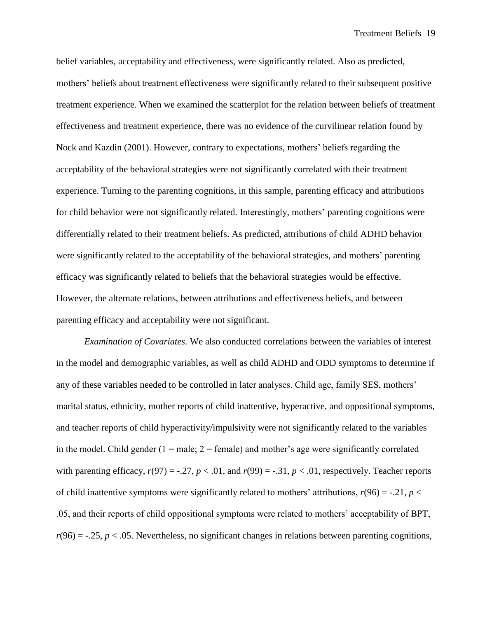belief variables, acceptability and effectiveness, were significantly related. Also as predicted, mothers' beliefs about treatment effectiveness were significantly related to their subsequent positive treatment experience. When we examined the scatterplot for the relation between beliefs of treatment effectiveness and treatment experience, there was no evidence of the curvilinear relation found by Nock and Kazdin (2001). However, contrary to expectations, mothers' beliefs regarding the acceptability of the behavioral strategies were not significantly correlated with their treatment experience. Turning to the parenting cognitions, in this sample, parenting efficacy and attributions for child behavior were not significantly related. Interestingly, mothers' parenting cognitions were differentially related to their treatment beliefs. As predicted, attributions of child ADHD behavior were significantly related to the acceptability of the behavioral strategies, and mothers' parenting efficacy was significantly related to beliefs that the behavioral strategies would be effective. However, the alternate relations, between attributions and effectiveness beliefs, and between parenting efficacy and acceptability were not significant.

*Examination of Covariates.* We also conducted correlations between the variables of interest in the model and demographic variables, as well as child ADHD and ODD symptoms to determine if any of these variables needed to be controlled in later analyses. Child age, family SES, mothers' marital status, ethnicity, mother reports of child inattentive, hyperactive, and oppositional symptoms, and teacher reports of child hyperactivity/impulsivity were not significantly related to the variables in the model. Child gender  $(1 = male; 2 = female)$  and mother's age were significantly correlated with parenting efficacy,  $r(97) = -.27$ ,  $p < .01$ , and  $r(99) = -.31$ ,  $p < .01$ , respectively. Teacher reports of child inattentive symptoms were significantly related to mothers' attributions,  $r(96) = -.21$ ,  $p <$ .05, and their reports of child oppositional symptoms were related to mothers' acceptability of BPT,  $r(96) = -.25$ ,  $p < .05$ . Nevertheless, no significant changes in relations between parenting cognitions,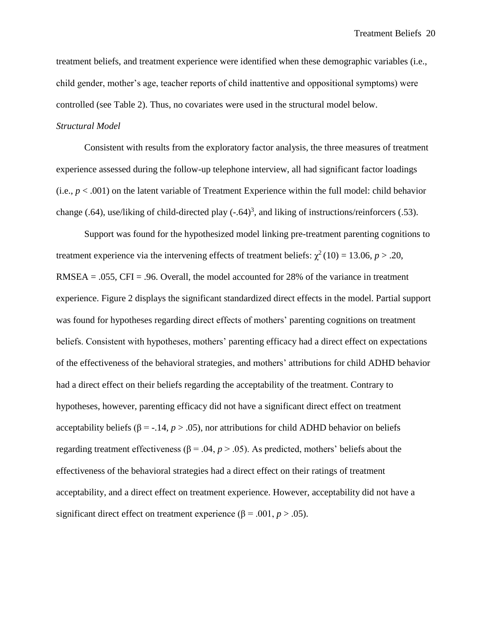treatment beliefs, and treatment experience were identified when these demographic variables (i.e., child gender, mother's age, teacher reports of child inattentive and oppositional symptoms) were controlled (see Table 2). Thus, no covariates were used in the structural model below.

### *Structural Model*

Consistent with results from the exploratory factor analysis, the three measures of treatment experience assessed during the follow-up telephone interview, all had significant factor loadings (i.e.,  $p < .001$ ) on the latent variable of Treatment Experience within the full model: child behavior change (.64), use/liking of child-directed play  $(-.64)^3$ , and liking of instructions/reinforcers (.53).

Support was found for the hypothesized model linking pre-treatment parenting cognitions to treatment experience via the intervening effects of treatment beliefs:  $\chi^2(10) = 13.06$ ,  $p > .20$ , RMSEA =  $.055$ , CFI =  $.96$ . Overall, the model accounted for 28% of the variance in treatment experience. Figure 2 displays the significant standardized direct effects in the model. Partial support was found for hypotheses regarding direct effects of mothers' parenting cognitions on treatment beliefs. Consistent with hypotheses, mothers' parenting efficacy had a direct effect on expectations of the effectiveness of the behavioral strategies, and mothers' attributions for child ADHD behavior had a direct effect on their beliefs regarding the acceptability of the treatment. Contrary to hypotheses, however, parenting efficacy did not have a significant direct effect on treatment acceptability beliefs (β = -.14, *p* > .05), nor attributions for child ADHD behavior on beliefs regarding treatment effectiveness ( $β = .04$ ,  $p > .05$ ). As predicted, mothers' beliefs about the effectiveness of the behavioral strategies had a direct effect on their ratings of treatment acceptability, and a direct effect on treatment experience. However, acceptability did not have a significant direct effect on treatment experience ( $\beta$  = .001, *p* > .05).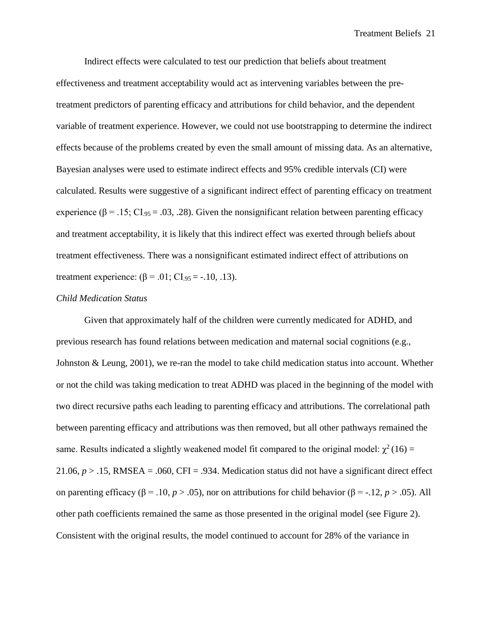Indirect effects were calculated to test our prediction that beliefs about treatment effectiveness and treatment acceptability would act as intervening variables between the pretreatment predictors of parenting efficacy and attributions for child behavior, and the dependent variable of treatment experience. However, we could not use bootstrapping to determine the indirect effects because of the problems created by even the small amount of missing data. As an alternative, Bayesian analyses were used to estimate indirect effects and 95% credible intervals (CI) were calculated. Results were suggestive of a significant indirect effect of parenting efficacy on treatment experience ( $\beta = .15$ ; CI<sub>95</sub> = .03, .28). Given the nonsignificant relation between parenting efficacy and treatment acceptability, it is likely that this indirect effect was exerted through beliefs about treatment effectiveness. There was a nonsignificant estimated indirect effect of attributions on treatment experience:  $(β = .01; CI<sub>.95</sub> = -.10, .13).$ 

#### *Child Medication Status*

Given that approximately half of the children were currently medicated for ADHD, and previous research has found relations between medication and maternal social cognitions (e.g., Johnston & Leung, 2001), we re-ran the model to take child medication status into account. Whether or not the child was taking medication to treat ADHD was placed in the beginning of the model with two direct recursive paths each leading to parenting efficacy and attributions. The correlational path between parenting efficacy and attributions was then removed, but all other pathways remained the same. Results indicated a slightly weakened model fit compared to the original model:  $\chi^2(16)$  = 21.06,  $p > 0.15$ , RMSEA = .060, CFI = .934. Medication status did not have a significant direct effect on parenting efficacy ( $\beta$  = .10, *p* > .05), nor on attributions for child behavior ( $\beta$  = -.12, *p* > .05). All other path coefficients remained the same as those presented in the original model (see Figure 2). Consistent with the original results, the model continued to account for 28% of the variance in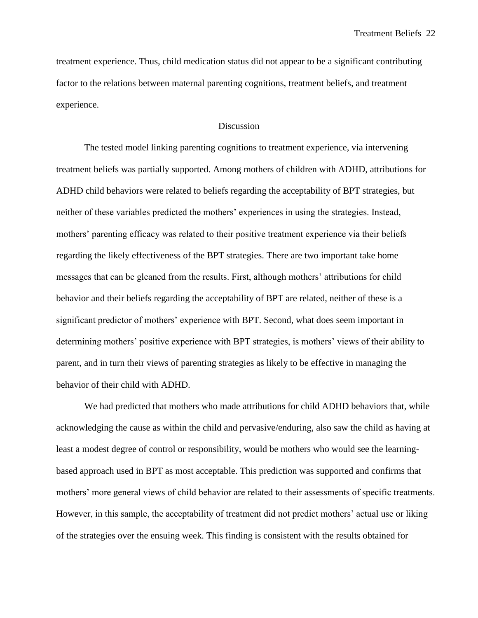treatment experience. Thus, child medication status did not appear to be a significant contributing factor to the relations between maternal parenting cognitions, treatment beliefs, and treatment experience.

#### **Discussion**

The tested model linking parenting cognitions to treatment experience, via intervening treatment beliefs was partially supported. Among mothers of children with ADHD, attributions for ADHD child behaviors were related to beliefs regarding the acceptability of BPT strategies, but neither of these variables predicted the mothers' experiences in using the strategies. Instead, mothers' parenting efficacy was related to their positive treatment experience via their beliefs regarding the likely effectiveness of the BPT strategies. There are two important take home messages that can be gleaned from the results. First, although mothers' attributions for child behavior and their beliefs regarding the acceptability of BPT are related, neither of these is a significant predictor of mothers' experience with BPT. Second, what does seem important in determining mothers' positive experience with BPT strategies, is mothers' views of their ability to parent, and in turn their views of parenting strategies as likely to be effective in managing the behavior of their child with ADHD.

We had predicted that mothers who made attributions for child ADHD behaviors that, while acknowledging the cause as within the child and pervasive/enduring, also saw the child as having at least a modest degree of control or responsibility, would be mothers who would see the learningbased approach used in BPT as most acceptable. This prediction was supported and confirms that mothers' more general views of child behavior are related to their assessments of specific treatments. However, in this sample, the acceptability of treatment did not predict mothers' actual use or liking of the strategies over the ensuing week. This finding is consistent with the results obtained for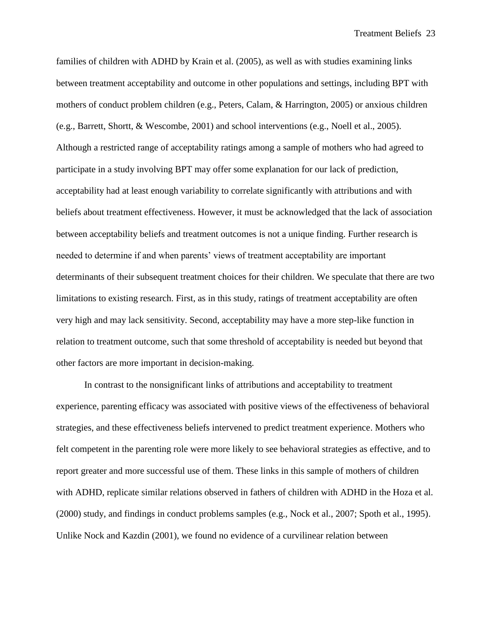families of children with ADHD by Krain et al. (2005), as well as with studies examining links between treatment acceptability and outcome in other populations and settings, including BPT with mothers of conduct problem children (e.g., Peters, Calam, & Harrington, 2005) or anxious children (e.g., Barrett, Shortt, & Wescombe, 2001) and school interventions (e.g., Noell et al., 2005). Although a restricted range of acceptability ratings among a sample of mothers who had agreed to participate in a study involving BPT may offer some explanation for our lack of prediction, acceptability had at least enough variability to correlate significantly with attributions and with beliefs about treatment effectiveness. However, it must be acknowledged that the lack of association between acceptability beliefs and treatment outcomes is not a unique finding. Further research is needed to determine if and when parents' views of treatment acceptability are important determinants of their subsequent treatment choices for their children. We speculate that there are two limitations to existing research. First, as in this study, ratings of treatment acceptability are often very high and may lack sensitivity. Second, acceptability may have a more step-like function in relation to treatment outcome, such that some threshold of acceptability is needed but beyond that other factors are more important in decision-making.

In contrast to the nonsignificant links of attributions and acceptability to treatment experience, parenting efficacy was associated with positive views of the effectiveness of behavioral strategies, and these effectiveness beliefs intervened to predict treatment experience. Mothers who felt competent in the parenting role were more likely to see behavioral strategies as effective, and to report greater and more successful use of them. These links in this sample of mothers of children with ADHD, replicate similar relations observed in fathers of children with ADHD in the Hoza et al. (2000) study, and findings in conduct problems samples (e.g., Nock et al., 2007; Spoth et al., 1995). Unlike Nock and Kazdin (2001), we found no evidence of a curvilinear relation between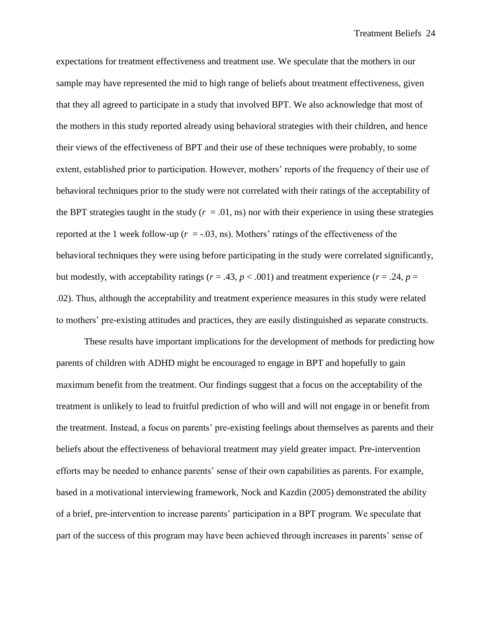expectations for treatment effectiveness and treatment use. We speculate that the mothers in our sample may have represented the mid to high range of beliefs about treatment effectiveness, given that they all agreed to participate in a study that involved BPT. We also acknowledge that most of the mothers in this study reported already using behavioral strategies with their children, and hence their views of the effectiveness of BPT and their use of these techniques were probably, to some extent, established prior to participation. However, mothers' reports of the frequency of their use of behavioral techniques prior to the study were not correlated with their ratings of the acceptability of the BPT strategies taught in the study  $(r = .01, \text{ns})$  nor with their experience in using these strategies reported at the 1 week follow-up  $(r = -0.03, \text{ns})$ . Mothers' ratings of the effectiveness of the behavioral techniques they were using before participating in the study were correlated significantly, but modestly, with acceptability ratings ( $r = .43$ ,  $p < .001$ ) and treatment experience ( $r = .24$ ,  $p =$ .02). Thus, although the acceptability and treatment experience measures in this study were related to mothers' pre-existing attitudes and practices, they are easily distinguished as separate constructs.

These results have important implications for the development of methods for predicting how parents of children with ADHD might be encouraged to engage in BPT and hopefully to gain maximum benefit from the treatment. Our findings suggest that a focus on the acceptability of the treatment is unlikely to lead to fruitful prediction of who will and will not engage in or benefit from the treatment. Instead, a focus on parents' pre-existing feelings about themselves as parents and their beliefs about the effectiveness of behavioral treatment may yield greater impact. Pre-intervention efforts may be needed to enhance parents' sense of their own capabilities as parents. For example, based in a motivational interviewing framework, Nock and Kazdin (2005) demonstrated the ability of a brief, pre-intervention to increase parents' participation in a BPT program. We speculate that part of the success of this program may have been achieved through increases in parents' sense of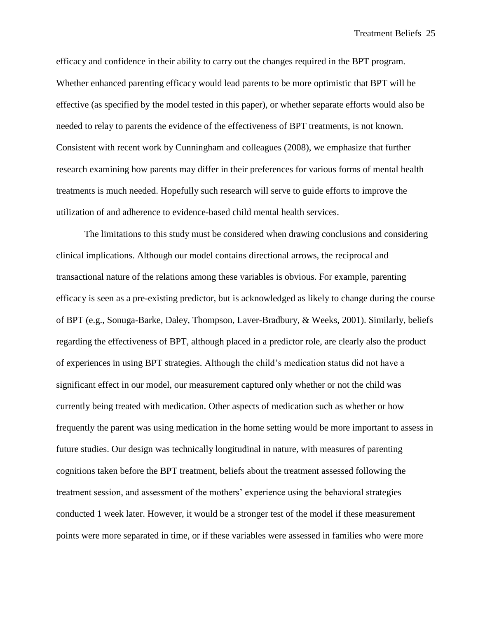efficacy and confidence in their ability to carry out the changes required in the BPT program. Whether enhanced parenting efficacy would lead parents to be more optimistic that BPT will be effective (as specified by the model tested in this paper), or whether separate efforts would also be needed to relay to parents the evidence of the effectiveness of BPT treatments, is not known. Consistent with recent work by Cunningham and colleagues (2008), we emphasize that further research examining how parents may differ in their preferences for various forms of mental health treatments is much needed. Hopefully such research will serve to guide efforts to improve the utilization of and adherence to evidence-based child mental health services.

The limitations to this study must be considered when drawing conclusions and considering clinical implications. Although our model contains directional arrows, the reciprocal and transactional nature of the relations among these variables is obvious. For example, parenting efficacy is seen as a pre-existing predictor, but is acknowledged as likely to change during the course of BPT (e.g., Sonuga-Barke, Daley, Thompson, Laver-Bradbury, & Weeks, 2001). Similarly, beliefs regarding the effectiveness of BPT, although placed in a predictor role, are clearly also the product of experiences in using BPT strategies. Although the child's medication status did not have a significant effect in our model, our measurement captured only whether or not the child was currently being treated with medication. Other aspects of medication such as whether or how frequently the parent was using medication in the home setting would be more important to assess in future studies. Our design was technically longitudinal in nature, with measures of parenting cognitions taken before the BPT treatment, beliefs about the treatment assessed following the treatment session, and assessment of the mothers' experience using the behavioral strategies conducted 1 week later. However, it would be a stronger test of the model if these measurement points were more separated in time, or if these variables were assessed in families who were more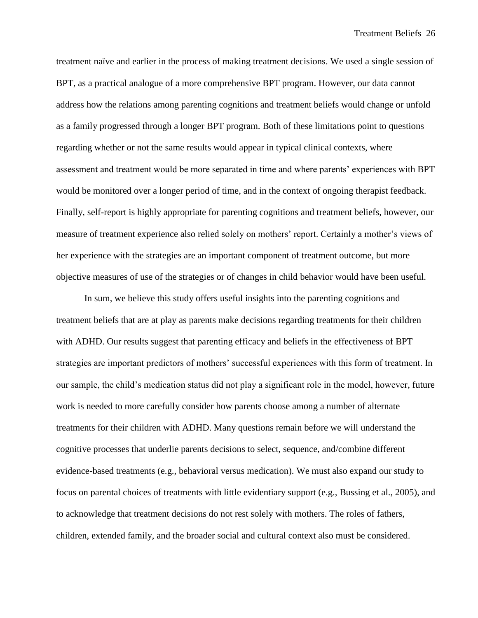treatment naïve and earlier in the process of making treatment decisions. We used a single session of BPT, as a practical analogue of a more comprehensive BPT program. However, our data cannot address how the relations among parenting cognitions and treatment beliefs would change or unfold as a family progressed through a longer BPT program. Both of these limitations point to questions regarding whether or not the same results would appear in typical clinical contexts, where assessment and treatment would be more separated in time and where parents' experiences with BPT would be monitored over a longer period of time, and in the context of ongoing therapist feedback. Finally, self-report is highly appropriate for parenting cognitions and treatment beliefs, however, our measure of treatment experience also relied solely on mothers' report. Certainly a mother's views of her experience with the strategies are an important component of treatment outcome, but more objective measures of use of the strategies or of changes in child behavior would have been useful.

In sum, we believe this study offers useful insights into the parenting cognitions and treatment beliefs that are at play as parents make decisions regarding treatments for their children with ADHD. Our results suggest that parenting efficacy and beliefs in the effectiveness of BPT strategies are important predictors of mothers' successful experiences with this form of treatment. In our sample, the child's medication status did not play a significant role in the model, however, future work is needed to more carefully consider how parents choose among a number of alternate treatments for their children with ADHD. Many questions remain before we will understand the cognitive processes that underlie parents decisions to select, sequence, and/combine different evidence-based treatments (e.g., behavioral versus medication). We must also expand our study to focus on parental choices of treatments with little evidentiary support (e.g., Bussing et al., 2005), and to acknowledge that treatment decisions do not rest solely with mothers. The roles of fathers, children, extended family, and the broader social and cultural context also must be considered.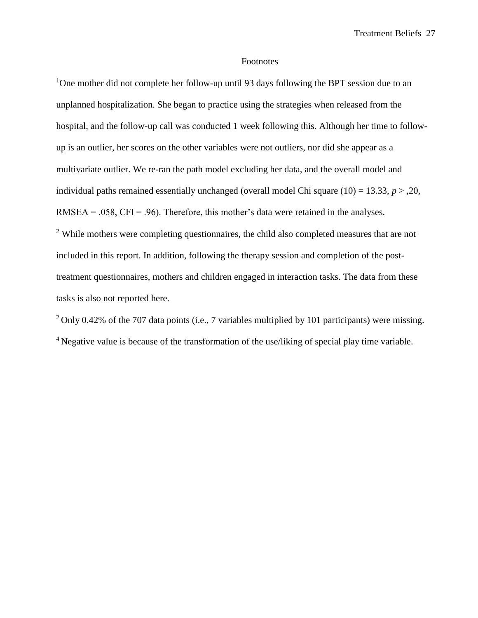#### Footnotes

<sup>1</sup>One mother did not complete her follow-up until 93 days following the BPT session due to an unplanned hospitalization. She began to practice using the strategies when released from the hospital, and the follow-up call was conducted 1 week following this. Although her time to followup is an outlier, her scores on the other variables were not outliers, nor did she appear as a multivariate outlier. We re-ran the path model excluding her data, and the overall model and individual paths remained essentially unchanged (overall model Chi square  $(10) = 13.33, p > 0.20$ ,  $RMSEA = .058$ ,  $CFI = .96$ ). Therefore, this mother's data were retained in the analyses.

<sup>2</sup> While mothers were completing questionnaires, the child also completed measures that are not included in this report. In addition, following the therapy session and completion of the posttreatment questionnaires, mothers and children engaged in interaction tasks. The data from these tasks is also not reported here.

<sup>2</sup> Only 0.42% of the 707 data points (i.e., 7 variables multiplied by 101 participants) were missing. <sup>4</sup> Negative value is because of the transformation of the use/liking of special play time variable.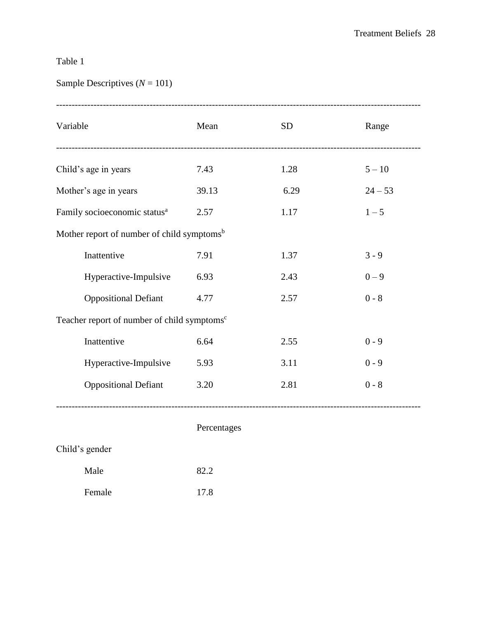# Table 1

# Sample Descriptives (*N* = 101)

| Variable                                                | Mean  | <b>SD</b> | Range     |  |  |
|---------------------------------------------------------|-------|-----------|-----------|--|--|
| Child's age in years                                    | 7.43  | 1.28      | $5 - 10$  |  |  |
| Mother's age in years                                   | 39.13 | 6.29      | $24 - 53$ |  |  |
| Family socioeconomic status <sup>a</sup>                | 2.57  | 1.17      | $1 - 5$   |  |  |
| Mother report of number of child symptoms <sup>b</sup>  |       |           |           |  |  |
| Inattentive                                             | 7.91  | 1.37      | $3 - 9$   |  |  |
| Hyperactive-Impulsive                                   | 6.93  | 2.43      | $0 - 9$   |  |  |
| <b>Oppositional Defiant</b>                             | 4.77  | 2.57      | $0 - 8$   |  |  |
| Teacher report of number of child symptoms <sup>c</sup> |       |           |           |  |  |
| Inattentive                                             | 6.64  | 2.55      | $0 - 9$   |  |  |
| Hyperactive-Impulsive                                   | 5.93  | 3.11      | $0 - 9$   |  |  |
| <b>Oppositional Defiant</b>                             | 3.20  | 2.81      | $0 - 8$   |  |  |
|                                                         |       |           |           |  |  |

## Percentages

| Child's gender |  |
|----------------|--|
|----------------|--|

| Male   | 82.2 |
|--------|------|
| Female | 17.8 |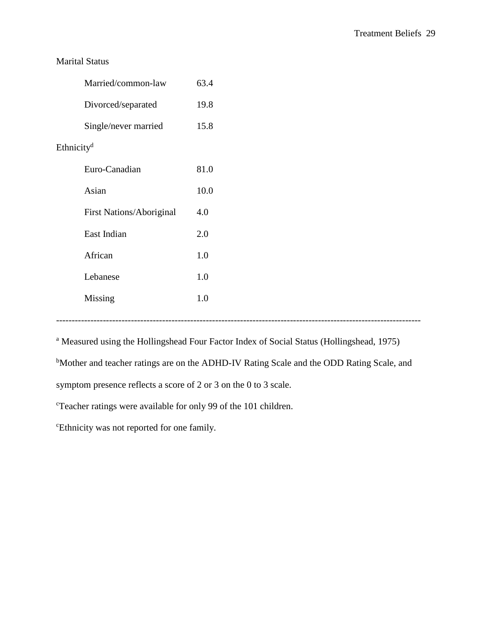### Marital Status

|                        | Married/common-law              | 63.4 |  |
|------------------------|---------------------------------|------|--|
|                        | Divorced/separated              | 19.8 |  |
|                        | Single/never married            | 15.8 |  |
| Ethnicity <sup>d</sup> |                                 |      |  |
|                        | Euro-Canadian                   | 81.0 |  |
|                        | Asian                           | 10.0 |  |
|                        | <b>First Nations/Aboriginal</b> | 4.0  |  |
|                        | East Indian                     | 2.0  |  |
|                        | African                         | 1.0  |  |
|                        | Lebanese                        | 1.0  |  |
|                        | Missing                         | 1.0  |  |

---------------------------------------------------------------------------------------------------------------------

<sup>a</sup> Measured using the Hollingshead Four Factor Index of Social Status (Hollingshead, 1975)

bMother and teacher ratings are on the ADHD-IV Rating Scale and the ODD Rating Scale, and

symptom presence reflects a score of 2 or 3 on the 0 to 3 scale.

<sup>c</sup>Teacher ratings were available for only 99 of the 101 children.

<sup>c</sup>Ethnicity was not reported for one family.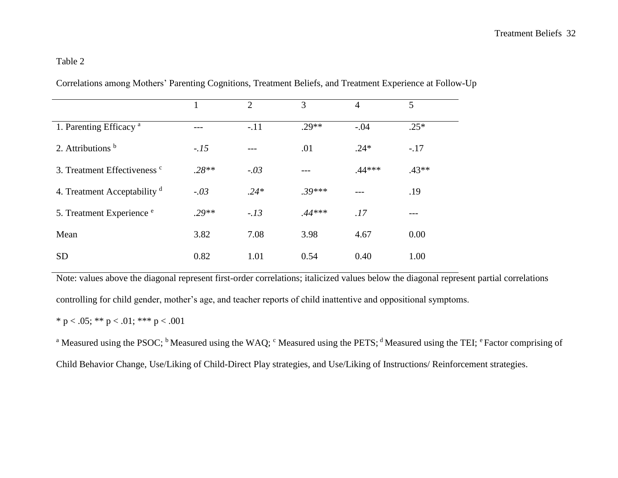## Table 2

|                                         | 1       | $\overline{2}$ | 3        | 4        | 5       |
|-----------------------------------------|---------|----------------|----------|----------|---------|
| 1. Parenting Efficacy <sup>a</sup>      |         | $-.11$         | $.29**$  | $-.04$   | $.25*$  |
| 2. Attributions $b$                     | $-.15$  |                | .01      | $.24*$   | $-.17$  |
| 3. Treatment Effectiveness <sup>c</sup> | $.28**$ | $-.03$         |          | $.44***$ | $.43**$ |
| 4. Treatment Acceptability <sup>d</sup> | $-.03$  | $.24*$         | $.39***$ |          | .19     |
| 5. Treatment Experience <sup>e</sup>    | $.29**$ | $-.13$         | $.44***$ | .17      |         |
| Mean                                    | 3.82    | 7.08           | 3.98     | 4.67     | 0.00    |
| <b>SD</b>                               | 0.82    | 1.01           | 0.54     | 0.40     | 1.00    |

Correlations among Mothers' Parenting Cognitions, Treatment Beliefs, and Treatment Experience at Follow-Up

Note: values above the diagonal represent first-order correlations; italicized values below the diagonal represent partial correlations controlling for child gender, mother's age, and teacher reports of child inattentive and oppositional symptoms.

\* p < .05; \*\* p < .01; \*\*\* p < .001

<sup>a</sup> Measured using the PSOC; <sup>b</sup> Measured using the WAQ; <sup>c</sup> Measured using the PETS; <sup>d</sup> Measured using the TEI; <sup>e</sup> Factor comprising of Child Behavior Change, Use/Liking of Child-Direct Play strategies, and Use/Liking of Instructions/ Reinforcement strategies.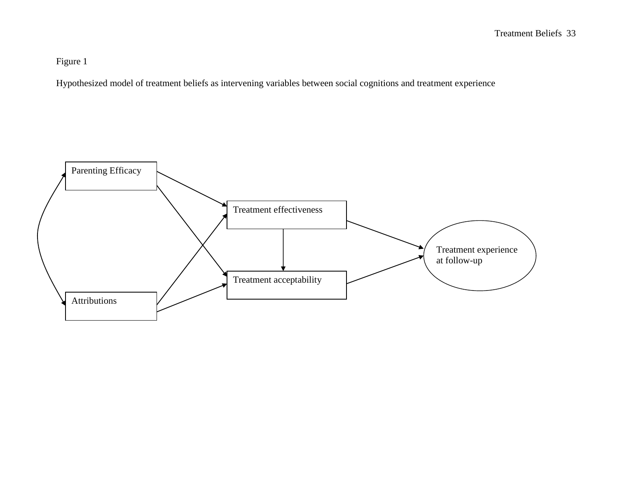Figure 1

Hypothesized model of treatment beliefs as intervening variables between social cognitions and treatment experience

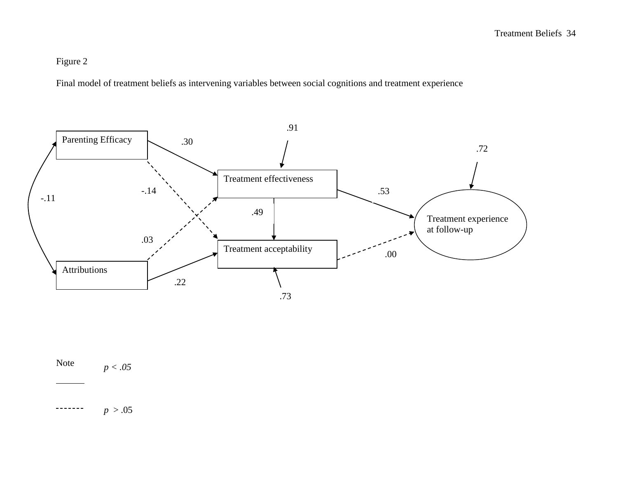# Figure 2

Final model of treatment beliefs as intervening variables between social cognitions and treatment experience



Note *p < .05*

 $p > .05$ -------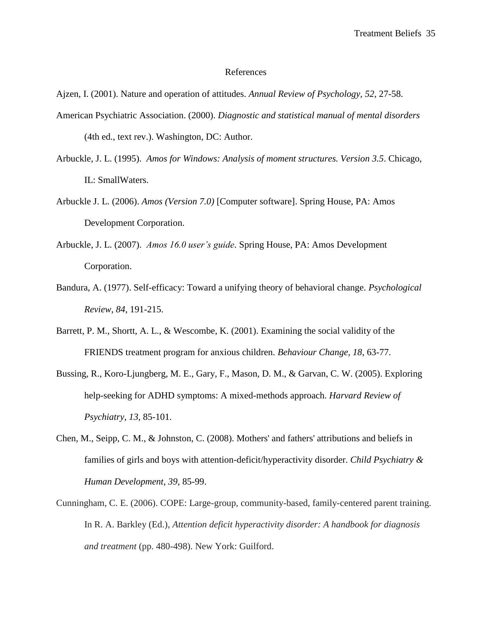#### References

Ajzen, I. (2001). Nature and operation of attitudes. *Annual Review of Psychology, 52*, 27-58.

- American Psychiatric Association. (2000). *Diagnostic and statistical manual of mental disorders* (4th ed., text rev.). Washington, DC: Author.
- Arbuckle, J. L. (1995). *Amos for Windows: Analysis of moment structures. Version 3.5*. Chicago, IL: SmallWaters.
- Arbuckle J. L. (2006). *Amos (Version 7.0)* [Computer software]. Spring House, PA: Amos Development Corporation.
- Arbuckle, J. L. (2007). *Amos 16.0 user's guide*. Spring House, PA: Amos Development Corporation.
- Bandura, A. (1977). Self-efficacy: Toward a unifying theory of behavioral change. *Psychological Review, 84*, 191-215.
- Barrett, P. M., Shortt, A. L., & Wescombe, K. (2001). Examining the social validity of the FRIENDS treatment program for anxious children. *Behaviour Change, 18*, 63-77.
- Bussing, R., Koro-Ljungberg, M. E., Gary, F., Mason, D. M., & Garvan, C. W. (2005). Exploring help-seeking for ADHD symptoms: A mixed-methods approach. *Harvard Review of Psychiatry, 13*, 85-101.
- Chen, M., Seipp, C. M., & Johnston, C. (2008). Mothers' and fathers' attributions and beliefs in families of girls and boys with attention-deficit/hyperactivity disorder. *Child Psychiatry & Human Development, 39*, 85-99.
- Cunningham, C. E. (2006). COPE: Large-group, community-based, family-centered parent training. In R. A. Barkley (Ed.), *Attention deficit hyperactivity disorder: A handbook for diagnosis and treatment* (pp. 480-498). New York: Guilford.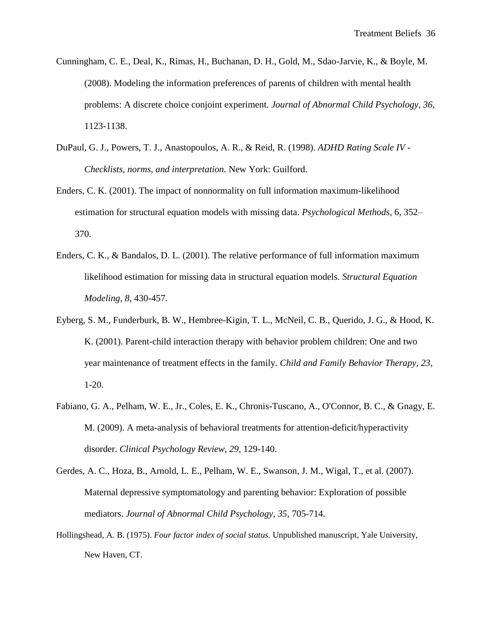- Cunningham, C. E., Deal, K., Rimas, H., Buchanan, D. H., Gold, M., Sdao-Jarvie, K., & Boyle, M. (2008). Modeling the information preferences of parents of children with mental health problems: A discrete choice conjoint experiment. *Journal of Abnormal Child Psychology, 36,* 1123-1138.
- DuPaul, G. J., Powers, T. J., Anastopoulos, A. R., & Reid, R. (1998). *ADHD Rating Scale IV - Checklists, norms, and interpretation.* New York: Guilford.
- Enders, C. K. (2001). The impact of nonnormality on full information maximum-likelihood estimation for structural equation models with missing data. *Psychological Methods,* 6, 352– 370.
- Enders, C. K., & Bandalos, D. L. (2001). The relative performance of full information maximum likelihood estimation for missing data in structural equation models. *Structural Equation Modeling, 8*, 430-457.
- Eyberg, S. M., Funderburk, B. W., Hembree-Kigin, T. L., McNeil, C. B., Querido, J. G., & Hood, K. K. (2001). Parent-child interaction therapy with behavior problem children: One and two year maintenance of treatment effects in the family. *Child and Family Behavior Therapy, 23*, 1-20.
- Fabiano, G. A., Pelham, W. E., Jr., Coles, E. K., Chronis-Tuscano, A., O'Connor, B. C., & Gnagy, E. M. (2009). A meta-analysis of behavioral treatments for attention-deficit/hyperactivity disorder. *Clinical Psychology Review, 29*, 129-140.
- Gerdes, A. C., Hoza, B., Arnold, L. E., Pelham, W. E., Swanson, J. M., Wigal, T., et al. (2007). Maternal depressive symptomatology and parenting behavior: Exploration of possible mediators. *Journal of Abnormal Child Psychology, 35*, 705-714.
- Hollingshead, A. B. (1975). *Four factor index of social status.* Unpublished manuscript, Yale University, New Haven, CT.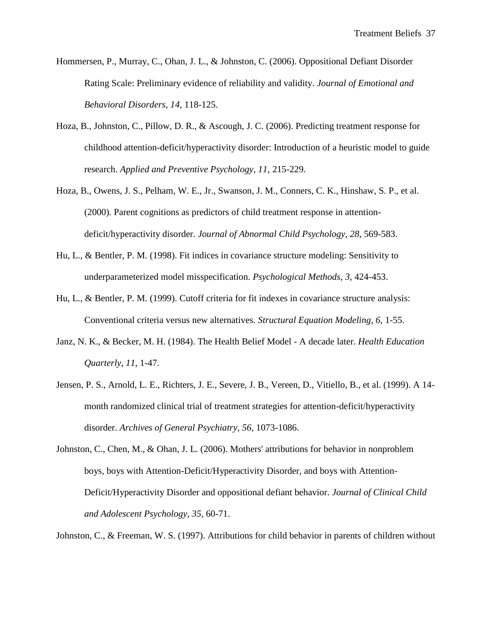- Hommersen, P., Murray, C., Ohan, J. L., & Johnston, C. (2006). Oppositional Defiant Disorder Rating Scale: Preliminary evidence of reliability and validity. *Journal of Emotional and Behavioral Disorders, 14*, 118-125.
- Hoza, B., Johnston, C., Pillow, D. R., & Ascough, J. C. (2006). Predicting treatment response for childhood attention-deficit/hyperactivity disorder: Introduction of a heuristic model to guide research. *Applied and Preventive Psychology, 11*, 215-229.
- Hoza, B., Owens, J. S., Pelham, W. E., Jr., Swanson, J. M., Conners, C. K., Hinshaw, S. P., et al. (2000). Parent cognitions as predictors of child treatment response in attentiondeficit/hyperactivity disorder. *Journal of Abnormal Child Psychology, 28*, 569-583.
- Hu, L., & Bentler, P. M. (1998). Fit indices in covariance structure modeling: Sensitivity to underparameterized model misspecification. *Psychological Methods, 3*, 424-453.
- Hu, L., & Bentler, P. M. (1999). Cutoff criteria for fit indexes in covariance structure analysis: Conventional criteria versus new alternatives. *Structural Equation Modeling, 6,* 1-55.
- Janz, N. K., & Becker, M. H. (1984). The Health Belief Model A decade later. *Health Education Quarterly, 11*, 1-47.
- Jensen, P. S., Arnold, L. E., Richters, J. E., Severe, J. B., Vereen, D., Vitiello, B., et al. (1999). A 14 month randomized clinical trial of treatment strategies for attention-deficit/hyperactivity disorder. *Archives of General Psychiatry, 56*, 1073-1086.
- Johnston, C., Chen, M., & Ohan, J. L. (2006). Mothers' attributions for behavior in nonproblem boys, boys with Attention-Deficit/Hyperactivity Disorder, and boys with Attention-Deficit/Hyperactivity Disorder and oppositional defiant behavior. *Journal of Clinical Child and Adolescent Psychology, 35*, 60-71.

Johnston, C., & Freeman, W. S. (1997). Attributions for child behavior in parents of children without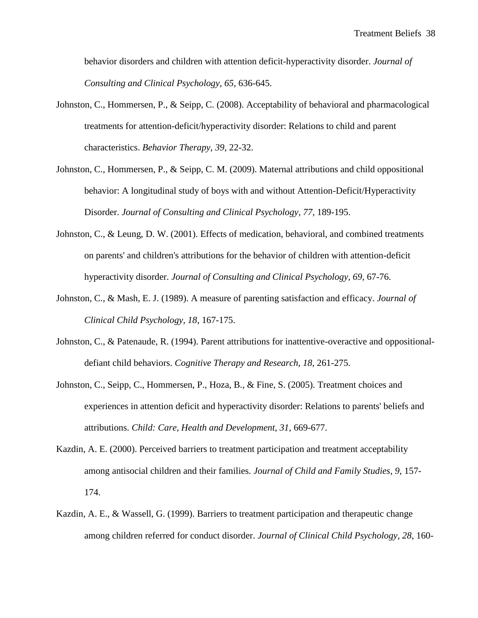behavior disorders and children with attention deficit-hyperactivity disorder. *Journal of Consulting and Clinical Psychology, 65*, 636-645.

- Johnston, C., Hommersen, P., & Seipp, C. (2008). Acceptability of behavioral and pharmacological treatments for attention-deficit/hyperactivity disorder: Relations to child and parent characteristics. *Behavior Therapy, 39*, 22-32.
- Johnston, C., Hommersen, P., & Seipp, C. M. (2009). Maternal attributions and child oppositional behavior: A longitudinal study of boys with and without Attention-Deficit/Hyperactivity Disorder. *Journal of Consulting and Clinical Psychology, 77*, 189-195.
- Johnston, C., & Leung, D. W. (2001). Effects of medication, behavioral, and combined treatments on parents' and children's attributions for the behavior of children with attention-deficit hyperactivity disorder. *Journal of Consulting and Clinical Psychology, 69*, 67-76.
- Johnston, C., & Mash, E. J. (1989). A measure of parenting satisfaction and efficacy. *Journal of Clinical Child Psychology, 18*, 167-175.
- Johnston, C., & Patenaude, R. (1994). Parent attributions for inattentive-overactive and oppositionaldefiant child behaviors. *Cognitive Therapy and Research, 18*, 261-275.
- Johnston, C., Seipp, C., Hommersen, P., Hoza, B., & Fine, S. (2005). Treatment choices and experiences in attention deficit and hyperactivity disorder: Relations to parents' beliefs and attributions. *Child: Care, Health and Development, 31*, 669-677.
- Kazdin, A. E. (2000). Perceived barriers to treatment participation and treatment acceptability among antisocial children and their families. *Journal of Child and Family Studies, 9*, 157- 174.
- Kazdin, A. E., & Wassell, G. (1999). Barriers to treatment participation and therapeutic change among children referred for conduct disorder. *Journal of Clinical Child Psychology, 28*, 160-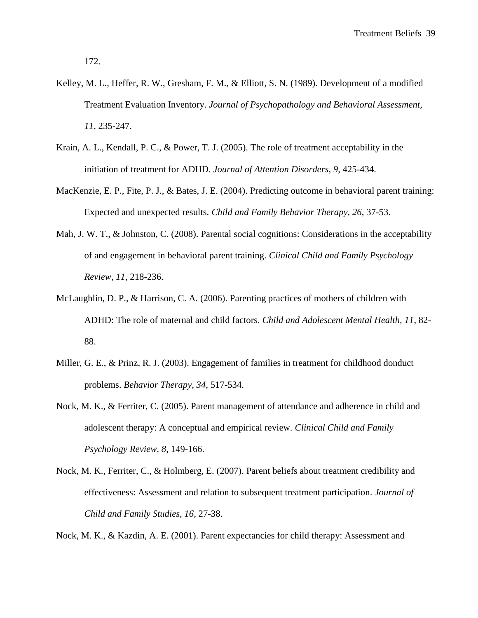172.

- Kelley, M. L., Heffer, R. W., Gresham, F. M., & Elliott, S. N. (1989). Development of a modified Treatment Evaluation Inventory. *Journal of Psychopathology and Behavioral Assessment, 11*, 235-247.
- Krain, A. L., Kendall, P. C., & Power, T. J. (2005). The role of treatment acceptability in the initiation of treatment for ADHD. *Journal of Attention Disorders, 9*, 425-434.
- MacKenzie, E. P., Fite, P. J., & Bates, J. E. (2004). Predicting outcome in behavioral parent training: Expected and unexpected results. *Child and Family Behavior Therapy, 26*, 37-53.
- Mah, J. W. T., & Johnston, C. (2008). Parental social cognitions: Considerations in the acceptability of and engagement in behavioral parent training. *Clinical Child and Family Psychology Review, 11*, 218-236.
- McLaughlin, D. P., & Harrison, C. A. (2006). Parenting practices of mothers of children with ADHD: The role of maternal and child factors. *Child and Adolescent Mental Health, 11*, 82- 88.
- Miller, G. E., & Prinz, R. J. (2003). Engagement of families in treatment for childhood donduct problems. *Behavior Therapy, 34*, 517-534.
- Nock, M. K., & Ferriter, C. (2005). Parent management of attendance and adherence in child and adolescent therapy: A conceptual and empirical review. *Clinical Child and Family Psychology Review, 8*, 149-166.
- Nock, M. K., Ferriter, C., & Holmberg, E. (2007). Parent beliefs about treatment credibility and effectiveness: Assessment and relation to subsequent treatment participation. *Journal of Child and Family Studies, 16*, 27-38.

Nock, M. K., & Kazdin, A. E. (2001). Parent expectancies for child therapy: Assessment and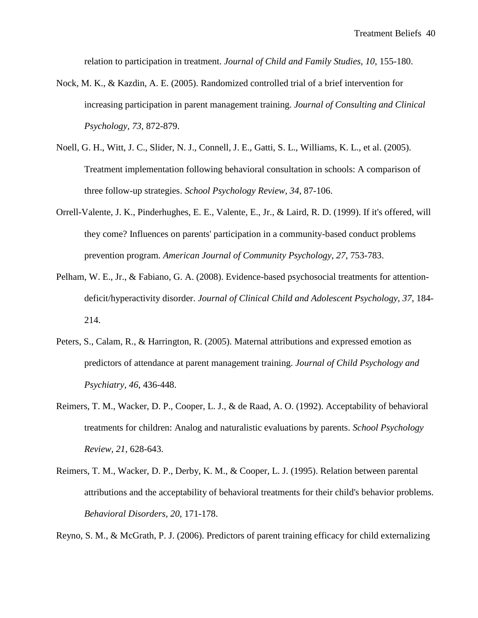relation to participation in treatment. *Journal of Child and Family Studies, 10*, 155-180.

- Nock, M. K., & Kazdin, A. E. (2005). Randomized controlled trial of a brief intervention for increasing participation in parent management training. *Journal of Consulting and Clinical Psychology, 73*, 872-879.
- Noell, G. H., Witt, J. C., Slider, N. J., Connell, J. E., Gatti, S. L., Williams, K. L., et al. (2005). Treatment implementation following behavioral consultation in schools: A comparison of three follow-up strategies. *School Psychology Review, 34*, 87-106.
- Orrell-Valente, J. K., Pinderhughes, E. E., Valente, E., Jr., & Laird, R. D. (1999). If it's offered, will they come? Influences on parents' participation in a community-based conduct problems prevention program. *American Journal of Community Psychology, 27*, 753-783.
- Pelham, W. E., Jr., & Fabiano, G. A. (2008). Evidence-based psychosocial treatments for attentiondeficit/hyperactivity disorder. *Journal of Clinical Child and Adolescent Psychology, 37*, 184- 214.
- Peters, S., Calam, R., & Harrington, R. (2005). Maternal attributions and expressed emotion as predictors of attendance at parent management training. *Journal of Child Psychology and Psychiatry, 46*, 436-448.
- Reimers, T. M., Wacker, D. P., Cooper, L. J., & de Raad, A. O. (1992). Acceptability of behavioral treatments for children: Analog and naturalistic evaluations by parents. *School Psychology Review, 21*, 628-643.
- Reimers, T. M., Wacker, D. P., Derby, K. M., & Cooper, L. J. (1995). Relation between parental attributions and the acceptability of behavioral treatments for their child's behavior problems. *Behavioral Disorders, 20*, 171-178.

Reyno, S. M., & McGrath, P. J. (2006). Predictors of parent training efficacy for child externalizing